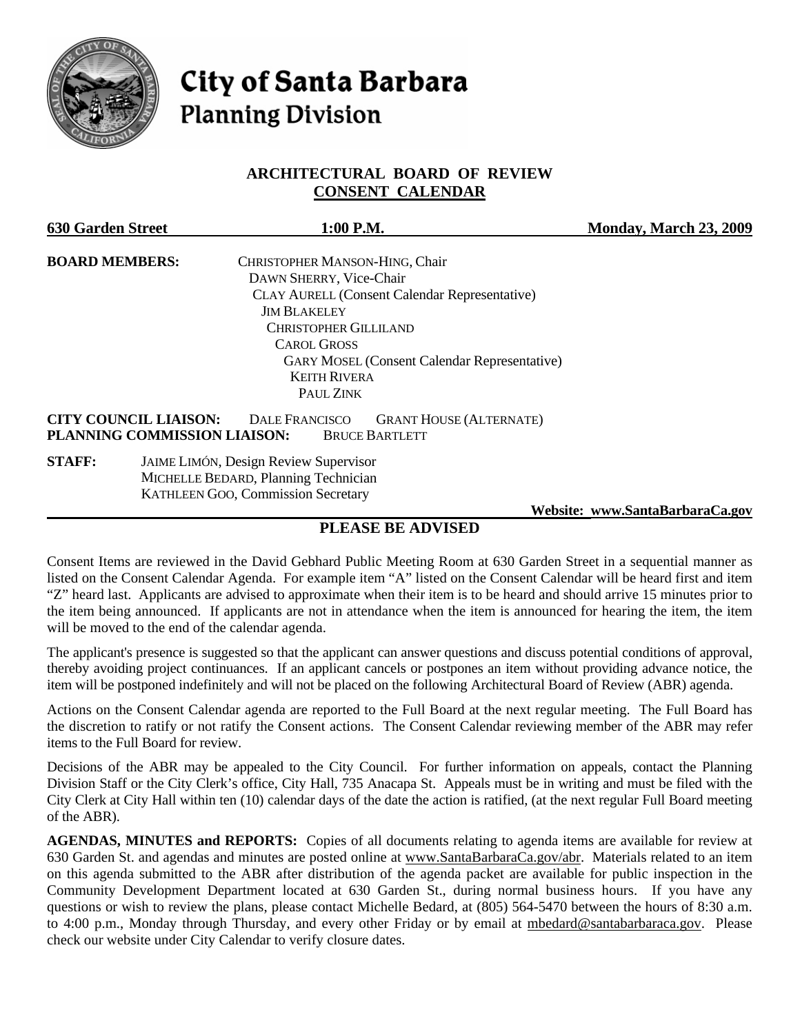

# **City of Santa Barbara Planning Division**

## **ARCHITECTURAL BOARD OF REVIEW CONSENT CALENDAR**

| <b>630 Garden Street</b>     | 1:00 P.M.                                               | <b>Monday, March 23, 2009</b> |
|------------------------------|---------------------------------------------------------|-------------------------------|
| <b>BOARD MEMBERS:</b>        | CHRISTOPHER MANSON-HING, Chair                          |                               |
|                              | DAWN SHERRY, Vice-Chair                                 |                               |
|                              | <b>CLAY AURELL (Consent Calendar Representative)</b>    |                               |
|                              | <b>JIM BLAKELEY</b>                                     |                               |
|                              | <b>CHRISTOPHER GILLILAND</b>                            |                               |
|                              | <b>CAROL GROSS</b>                                      |                               |
|                              | <b>GARY MOSEL (Consent Calendar Representative)</b>     |                               |
|                              | <b>KEITH RIVERA</b>                                     |                               |
|                              | PAUL ZINK                                               |                               |
| <b>CITY COUNCIL LIAISON:</b> | <b>DALE FRANCISCO</b><br><b>GRANT HOUSE (ALTERNATE)</b> |                               |
|                              | PLANNING COMMISSION LIAISON:<br><b>BRUCE BARTLETT</b>   |                               |
| <b>STAFF:</b>                | <b>JAIME LIMÓN, Design Review Supervisor</b>            |                               |
|                              | MICHELLE BEDARD, Planning Technician                    |                               |
|                              | <b>KATHLEEN GOO, Commission Secretary</b>               |                               |
|                              |                                                         |                               |

 **Website: [www.SantaBarbaraCa.gov](http://www.santabarbaraca.gov/)**

# **PLEASE BE ADVISED**

Consent Items are reviewed in the David Gebhard Public Meeting Room at 630 Garden Street in a sequential manner as listed on the Consent Calendar Agenda. For example item "A" listed on the Consent Calendar will be heard first and item "Z" heard last. Applicants are advised to approximate when their item is to be heard and should arrive 15 minutes prior to the item being announced. If applicants are not in attendance when the item is announced for hearing the item, the item will be moved to the end of the calendar agenda.

The applicant's presence is suggested so that the applicant can answer questions and discuss potential conditions of approval, thereby avoiding project continuances. If an applicant cancels or postpones an item without providing advance notice, the item will be postponed indefinitely and will not be placed on the following Architectural Board of Review (ABR) agenda.

Actions on the Consent Calendar agenda are reported to the Full Board at the next regular meeting. The Full Board has the discretion to ratify or not ratify the Consent actions. The Consent Calendar reviewing member of the ABR may refer items to the Full Board for review.

Decisions of the ABR may be appealed to the City Council. For further information on appeals, contact the Planning Division Staff or the City Clerk's office, City Hall, 735 Anacapa St. Appeals must be in writing and must be filed with the City Clerk at City Hall within ten (10) calendar days of the date the action is ratified, (at the next regular Full Board meeting of the ABR).

**AGENDAS, MINUTES and REPORTS:** Copies of all documents relating to agenda items are available for review at 630 Garden St. and agendas and minutes are posted online at [www.SantaBarbaraCa.gov/abr.](http://www.santabarbaraca.gov/abr) Materials related to an item on this agenda submitted to the ABR after distribution of the agenda packet are available for public inspection in the Community Development Department located at 630 Garden St., during normal business hours. If you have any questions or wish to review the plans, please contact Michelle Bedard, at (805) 564-5470 between the hours of 8:30 a.m. to 4:00 p.m., Monday through Thursday, and every other Friday or by email at [mbedard@santabarbaraca.gov.](mailto:mbedard@santabarbaraca.gov) Please check our website under City Calendar to verify closure dates.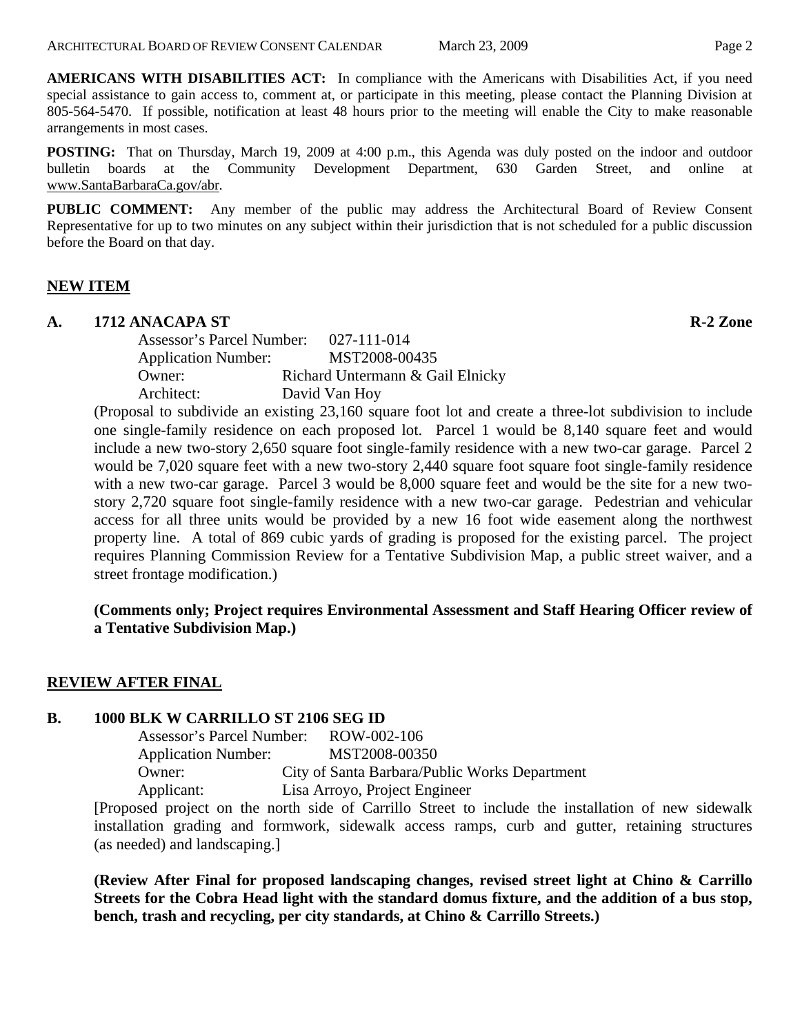**AMERICANS WITH DISABILITIES ACT:** In compliance with the Americans with Disabilities Act, if you need special assistance to gain access to, comment at, or participate in this meeting, please contact the Planning Division at 805-564-5470. If possible, notification at least 48 hours prior to the meeting will enable the City to make reasonable arrangements in most cases.

**POSTING:** That on Thursday, March 19, 2009 at 4:00 p.m., this Agenda was duly posted on the indoor and outdoor bulletin boards at the Community Development Department, 630 Garden Street, and online at [www.SantaBarbaraCa.gov/abr.](http://www.santabarbaraca.gov/abr)

**PUBLIC COMMENT:** Any member of the public may address the Architectural Board of Review Consent Representative for up to two minutes on any subject within their jurisdiction that is not scheduled for a public discussion before the Board on that day.

### **NEW ITEM**

#### A. 1712 ANACAPA ST **R-2** Zone

Assessor's Parcel Number: 027-111-014 Application Number: MST2008-00435 Owner: Richard Untermann & Gail Elnicky Architect: David Van Hoy

(Proposal to subdivide an existing 23,160 square foot lot and create a three-lot subdivision to include one single-family residence on each proposed lot. Parcel 1 would be 8,140 square feet and would include a new two-story 2,650 square foot single-family residence with a new two-car garage. Parcel 2 would be 7,020 square feet with a new two-story 2,440 square foot square foot single-family residence with a new two-car garage. Parcel 3 would be 8,000 square feet and would be the site for a new twostory 2,720 square foot single-family residence with a new two-car garage. Pedestrian and vehicular access for all three units would be provided by a new 16 foot wide easement along the northwest property line. A total of 869 cubic yards of grading is proposed for the existing parcel. The project requires Planning Commission Review for a Tentative Subdivision Map, a public street waiver, and a street frontage modification.)

**(Comments only; Project requires Environmental Assessment and Staff Hearing Officer review of a Tentative Subdivision Map.)** 

# **REVIEW AFTER FINAL**

#### **B. 1000 BLK W CARRILLO ST 2106 SEG ID**

Assessor's Parcel Number: ROW-002-106 Application Number: MST2008-00350 Owner: City of Santa Barbara/Public Works Department Applicant: Lisa Arroyo, Project Engineer

[Proposed project on the north side of Carrillo Street to include the installation of new sidewalk installation grading and formwork, sidewalk access ramps, curb and gutter, retaining structures (as needed) and landscaping.]

**(Review After Final for proposed landscaping changes, revised street light at Chino & Carrillo Streets for the Cobra Head light with the standard domus fixture, and the addition of a bus stop, bench, trash and recycling, per city standards, at Chino & Carrillo Streets.)**